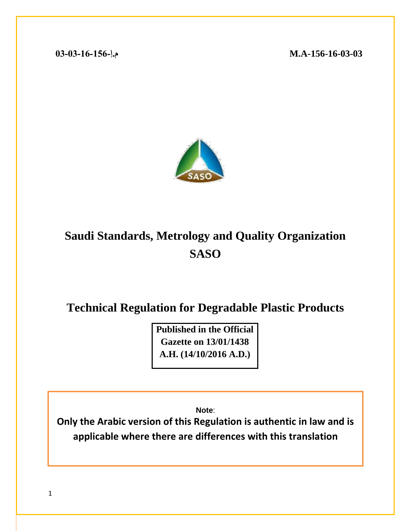**-156-16-03-03A.M م.إ03-03-16-156-**



# **Saudi Standards, Metrology and Quality Organization SASO**

**Technical Regulation for Degradable Plastic Products** 

**Published in the Official Gazette on 13/01/1438 A.H. (14/10/2016 A.D.)**

**Note**:

**Only the Arabic version of this Regulation is authentic in law and is applicable where there are differences with this translation**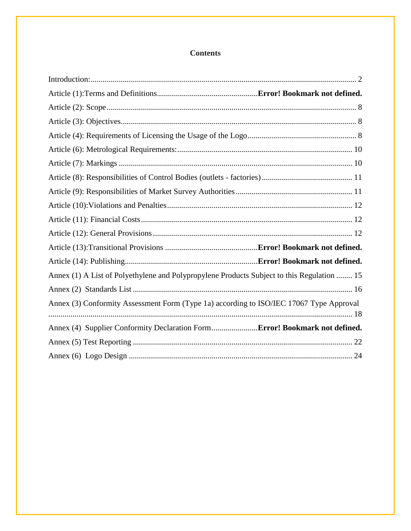## **Contents**

<span id="page-1-0"></span>

| Annex (1) A List of Polyethylene and Polypropylene Products Subject to this Regulation  15 |  |
|--------------------------------------------------------------------------------------------|--|
|                                                                                            |  |
| Annex (3) Conformity Assessment Form (Type 1a) according to ISO/IEC 17067 Type Approval    |  |
| Annex (4) Supplier Conformity Declaration Form Error! Bookmark not defined.                |  |
|                                                                                            |  |
|                                                                                            |  |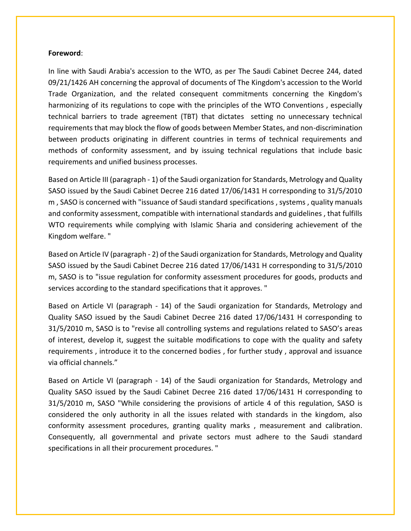#### **Foreword**:

In line with Saudi Arabia's accession to the WTO, as per The Saudi Cabinet Decree 244, dated 09/21/1426 AH concerning the approval of documents of The Kingdom's accession to the World Trade Organization, and the related consequent commitments concerning the Kingdom's harmonizing of its regulations to cope with the principles of the WTO Conventions , especially technical barriers to trade agreement (TBT) that dictates setting no unnecessary technical requirements that may block the flow of goods between Member States, and non-discrimination between products originating in different countries in terms of technical requirements and methods of conformity assessment, and by issuing technical regulations that include basic requirements and unified business processes.

Based on Article III (paragraph - 1) of the Saudi organization for Standards, Metrology and Quality SASO issued by the Saudi Cabinet Decree 216 dated 17/06/1431 H corresponding to 31/5/2010 m , SASO is concerned with "issuance of Saudi standard specifications , systems , quality manuals and conformity assessment, compatible with international standards and guidelines , that fulfills WTO requirements while complying with Islamic Sharia and considering achievement of the Kingdom welfare. "

Based on Article IV (paragraph - 2) of the Saudi organization for Standards, Metrology and Quality SASO issued by the Saudi Cabinet Decree 216 dated 17/06/1431 H corresponding to 31/5/2010 m, SASO is to "issue regulation for conformity assessment procedures for goods, products and services according to the standard specifications that it approves. "

Based on Article VI (paragraph - 14) of the Saudi organization for Standards, Metrology and Quality SASO issued by the Saudi Cabinet Decree 216 dated 17/06/1431 H corresponding to 31/5/2010 m, SASO is to "revise all controlling systems and regulations related to SASO's areas of interest, develop it, suggest the suitable modifications to cope with the quality and safety requirements , introduce it to the concerned bodies , for further study , approval and issuance via official channels."

Based on Article VI (paragraph - 14) of the Saudi organization for Standards, Metrology and Quality SASO issued by the Saudi Cabinet Decree 216 dated 17/06/1431 H corresponding to 31/5/2010 m, SASO "While considering the provisions of article 4 of this regulation, SASO is considered the only authority in all the issues related with standards in the kingdom, also conformity assessment procedures, granting quality marks , measurement and calibration. Consequently, all governmental and private sectors must adhere to the Saudi standard specifications in all their procurement procedures. "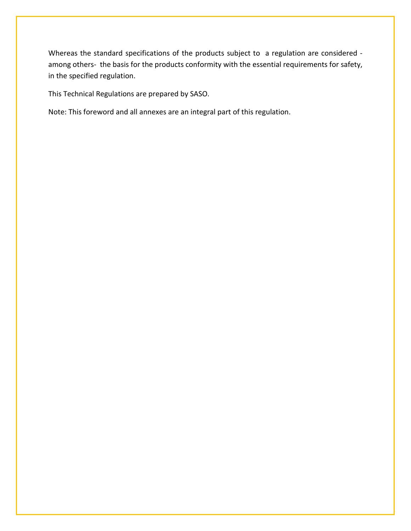Whereas the standard specifications of the products subject to a regulation are considered among others- the basis for the products conformity with the essential requirements for safety, in the specified regulation.

This Technical Regulations are prepared by SASO.

Note: This foreword and all annexes are an integral part of this regulation.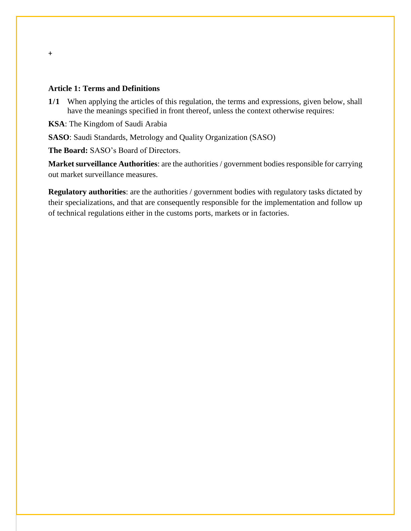#### **Article 1: Terms and Definitions**

+

- **1/1** When applying the articles of this regulation, the terms and expressions, given below, shall have the meanings specified in front thereof, unless the context otherwise requires:
- **KSA**: The Kingdom of Saudi Arabia
- **SASO**: Saudi Standards, Metrology and Quality Organization (SASO)

**The Board:** SASO's Board of Directors.

**Market surveillance Authorities**: are the authorities / government bodies responsible for carrying out market surveillance measures.

**Regulatory authorities**: are the authorities / government bodies with regulatory tasks dictated by their specializations, and that are consequently responsible for the implementation and follow up of technical regulations either in the customs ports, markets or in factories.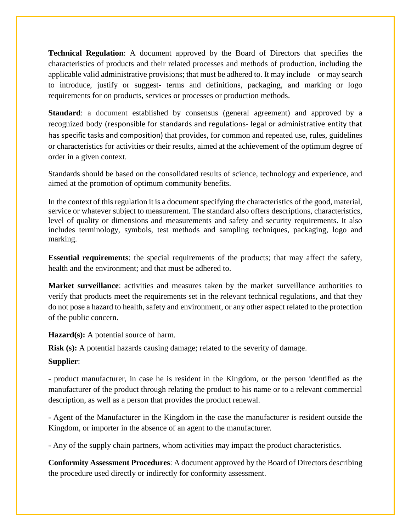**Technical Regulation**: A document approved by the Board of Directors that specifies the characteristics of products and their related processes and methods of production, including the applicable valid administrative provisions; that must be adhered to. It may include – or may search to introduce, justify or suggest- terms and definitions, packaging, and marking or logo requirements for on products, services or processes or production methods.

**Standard:** a document established by consensus (general agreement) and approved by a recognized body (responsible for standards and regulations- legal or administrative entity that has specific tasks and composition) that provides, for common and repeated use, rules, guidelines or characteristics for activities or their results, aimed at the achievement of the optimum degree of order in a given context.

Standards should be based on the consolidated results of science, technology and experience, and aimed at the promotion of optimum community benefits.

In the context of this regulation it is a document specifying the characteristics of the good, material, service or whatever subject to measurement. The standard also offers descriptions, characteristics, level of quality or dimensions and measurements and safety and security requirements. It also includes terminology, symbols, test methods and sampling techniques, packaging, logo and marking.

**Essential requirements**: the special requirements of the products; that may affect the safety, health and the environment; and that must be adhered to.

**Market surveillance**: activities and measures taken by the market surveillance authorities to verify that products meet the requirements set in the relevant technical regulations, and that they do not pose a hazard to health, safety and environment, or any other aspect related to the protection of the public concern.

**Hazard(s):** A potential source of harm.

**Risk (s):** A potential hazards causing damage; related to the severity of damage.

#### **Supplier**:

- product manufacturer, in case he is resident in the Kingdom, or the person identified as the manufacturer of the product through relating the product to his name or to a relevant commercial description, as well as a person that provides the product renewal.

- Agent of the Manufacturer in the Kingdom in the case the manufacturer is resident outside the Kingdom, or importer in the absence of an agent to the manufacturer.

- Any of the supply chain partners, whom activities may impact the product characteristics.

**Conformity Assessment Procedures**: A document approved by the Board of Directors describing the procedure used directly or indirectly for conformity assessment.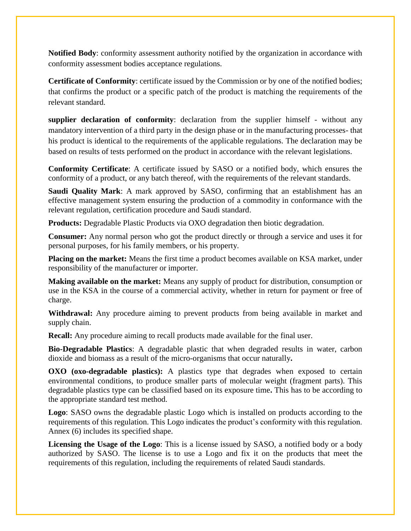**Notified Body**: conformity assessment authority notified by the organization in accordance with conformity assessment bodies acceptance regulations.

**Certificate of Conformity**: certificate issued by the Commission or by one of the notified bodies; that confirms the product or a specific patch of the product is matching the requirements of the relevant standard.

**supplier declaration of conformity**: declaration from the supplier himself - without any mandatory intervention of a third party in the design phase or in the manufacturing processes- that his product is identical to the requirements of the applicable regulations. The declaration may be based on results of tests performed on the product in accordance with the relevant legislations.

**Conformity Certificate**: A certificate issued by SASO or a notified body, which ensures the conformity of a product, or any batch thereof, with the requirements of the relevant standards.

**Saudi Quality Mark**: A mark approved by SASO, confirming that an establishment has an effective management system ensuring the production of a commodity in conformance with the relevant regulation, certification procedure and Saudi standard.

**Products:** Degradable Plastic Products via OXO degradation then biotic degradation.

**Consumer:** Any normal person who got the product directly or through a service and uses it for personal purposes, for his family members, or his property.

**Placing on the market:** Means the first time a product becomes available on KSA market, under responsibility of the manufacturer or importer.

**Making available on the market:** Means any supply of product for distribution, consumption or use in the KSA in the course of a commercial activity, whether in return for payment or free of charge.

**Withdrawal:** Any procedure aiming to prevent products from being available in market and supply chain.

**Recall:** Any procedure aiming to recall products made available for the final user.

**Bio-Degradable Plastics**: A degradable plastic that when degraded results in water, carbon dioxide and biomass as a result of the micro-organisms that occur naturally**.**

**OXO** (**oxo-degradable plastics**): A plastics type that degrades when exposed to certain environmental conditions, to produce smaller parts of molecular weight (fragment parts). This degradable plastics type can be classified based on its exposure time**.** This has to be according to the appropriate standard test method.

**Logo**: SASO owns the degradable plastic Logo which is installed on products according to the requirements of this regulation. This Logo indicates the product's conformity with this regulation. Annex (6) includes its specified shape.

**Licensing the Usage of the Logo**: This is a license issued by SASO, a notified body or a body authorized by SASO. The license is to use a Logo and fix it on the products that meet the requirements of this regulation, including the requirements of related Saudi standards.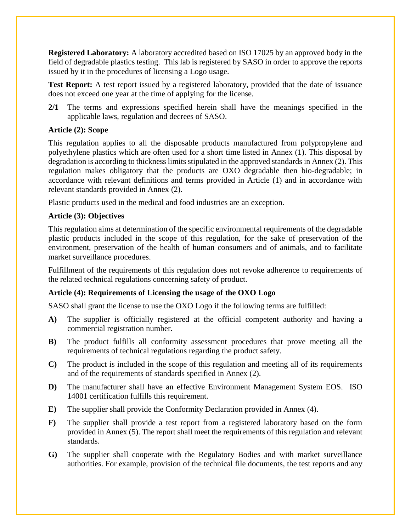**Registered Laboratory:** A laboratory accredited based on ISO 17025 by an approved body in the field of degradable plastics testing. This lab is registered by SASO in order to approve the reports issued by it in the procedures of licensing a Logo usage.

**Test Report:** A test report issued by a registered laboratory, provided that the date of issuance does not exceed one year at the time of applying for the license.

**2/1** The terms and expressions specified herein shall have the meanings specified in the applicable laws, regulation and decrees of SASO.

#### <span id="page-7-0"></span>**Article (2): Scope**

This regulation applies to all the disposable products manufactured from polypropylene and polyethylene plastics which are often used for a short time listed in Annex (1). This disposal by degradation is according to thickness limits stipulated in the approved standards in Annex (2). This regulation makes obligatory that the products are OXO degradable then bio-degradable; in accordance with relevant definitions and terms provided in Article (1) and in accordance with relevant standards provided in Annex (2).

Plastic products used in the medical and food industries are an exception.

#### <span id="page-7-1"></span>**Article (3): Objectives**

This regulation aims at determination of the specific environmental requirements of the degradable plastic products included in the scope of this regulation, for the sake of preservation of the environment, preservation of the health of human consumers and of animals, and to facilitate market surveillance procedures.

Fulfillment of the requirements of this regulation does not revoke adherence to requirements of the related technical regulations concerning safety of product.

#### <span id="page-7-2"></span>**Article (4): Requirements of Licensing the usage of the OXO Logo**

SASO shall grant the license to use the OXO Logo if the following terms are fulfilled:

- **A)** The supplier is officially registered at the official competent authority and having a commercial registration number.
- **B)** The product fulfills all conformity assessment procedures that prove meeting all the requirements of technical regulations regarding the product safety.
- **C)** The product is included in the scope of this regulation and meeting all of its requirements and of the requirements of standards specified in Annex (2).
- **D)** The manufacturer shall have an effective Environment Management System EOS. ISO 14001 certification fulfills this requirement.
- **E)** The supplier shall provide the Conformity Declaration provided in Annex (4).
- **F)** The supplier shall provide a test report from a registered laboratory based on the form provided in Annex (5). The report shall meet the requirements of this regulation and relevant standards.
- **G)** The supplier shall cooperate with the Regulatory Bodies and with market surveillance authorities. For example, provision of the technical file documents, the test reports and any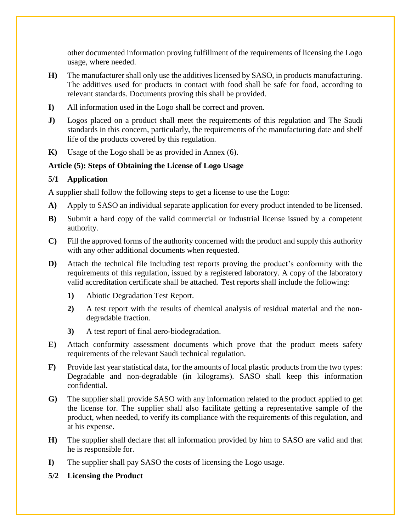other documented information proving fulfillment of the requirements of licensing the Logo usage, where needed.

- **H)** The manufacturer shall only use the additives licensed by SASO, in products manufacturing. The additives used for products in contact with food shall be safe for food, according to relevant standards. Documents proving this shall be provided.
- **I)** All information used in the Logo shall be correct and proven.
- **J)** Logos placed on a product shall meet the requirements of this regulation and The Saudi standards in this concern, particularly, the requirements of the manufacturing date and shelf life of the products covered by this regulation.
- **K)** Usage of the Logo shall be as provided in Annex (6).

#### **Article (5): Steps of Obtaining the License of Logo Usage**

#### **5/1 Application**

A supplier shall follow the following steps to get a license to use the Logo:

- **A)** Apply to SASO an individual separate application for every product intended to be licensed.
- **B)** Submit a hard copy of the valid commercial or industrial license issued by a competent authority.
- **C)** Fill the approved forms of the authority concerned with the product and supply this authority with any other additional documents when requested.
- **D)** Attach the technical file including test reports proving the product's conformity with the requirements of this regulation, issued by a registered laboratory. A copy of the laboratory valid accreditation certificate shall be attached. Test reports shall include the following:
	- **1)** Abiotic Degradation Test Report.
	- **2)** A test report with the results of chemical analysis of residual material and the nondegradable fraction.
	- **3)** A test report of final aero-biodegradation.
- **E)** Attach conformity assessment documents which prove that the product meets safety requirements of the relevant Saudi technical regulation.
- **F)** Provide last year statistical data, for the amounts of local plastic products from the two types: Degradable and non-degradable (in kilograms). SASO shall keep this information confidential.
- **G)** The supplier shall provide SASO with any information related to the product applied to get the license for. The supplier shall also facilitate getting a representative sample of the product, when needed, to verify its compliance with the requirements of this regulation, and at his expense.
- **H)** The supplier shall declare that all information provided by him to SASO are valid and that he is responsible for.
- **I)** The supplier shall pay SASO the costs of licensing the Logo usage.
- **5/2 Licensing the Product**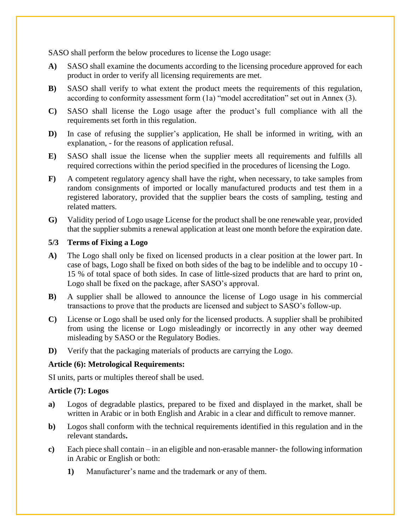SASO shall perform the below procedures to license the Logo usage:

- **A)** SASO shall examine the documents according to the licensing procedure approved for each product in order to verify all licensing requirements are met.
- **B)** SASO shall verify to what extent the product meets the requirements of this regulation, according to conformity assessment form (1a) "model accreditation" set out in Annex (3).
- **C)** SASO shall license the Logo usage after the product's full compliance with all the requirements set forth in this regulation.
- **D**) In case of refusing the supplier's application, He shall be informed in writing, with an explanation, - for the reasons of application refusal.
- **E)** SASO shall issue the license when the supplier meets all requirements and fulfills all required corrections within the period specified in the procedures of licensing the Logo.
- **F)** A competent regulatory agency shall have the right, when necessary, to take samples from random consignments of imported or locally manufactured products and test them in a registered laboratory, provided that the supplier bears the costs of sampling, testing and related matters.
- **G)** Validity period of Logo usage License for the product shall be one renewable year, provided that the supplier submits a renewal application at least one month before the expiration date.

#### **5/3 Terms of Fixing a Logo**

- **A)** The Logo shall only be fixed on licensed products in a clear position at the lower part. In case of bags, Logo shall be fixed on both sides of the bag to be indelible and to occupy 10 - 15 % of total space of both sides. In case of little-sized products that are hard to print on, Logo shall be fixed on the package, after SASO's approval.
- **B)** A supplier shall be allowed to announce the license of Logo usage in his commercial transactions to prove that the products are licensed and subject to SASO's follow-up.
- **C)** License or Logo shall be used only for the licensed products. A supplier shall be prohibited from using the license or Logo misleadingly or incorrectly in any other way deemed misleading by SASO or the Regulatory Bodies.
- **D)** Verify that the packaging materials of products are carrying the Logo.

#### <span id="page-9-0"></span>**Article (6): Metrological Requirements:**

SI units, parts or multiples thereof shall be used.

#### <span id="page-9-1"></span>**Article (7): Logos**

- **a)** Logos of degradable plastics, prepared to be fixed and displayed in the market, shall be written in Arabic or in both English and Arabic in a clear and difficult to remove manner.
- **b)** Logos shall conform with the technical requirements identified in this regulation and in the relevant standards**.**
- **c)** Each piece shall contain in an eligible and non-erasable manner- the following information in Arabic or English or both:
	- **1)** Manufacturer's name and the trademark or any of them.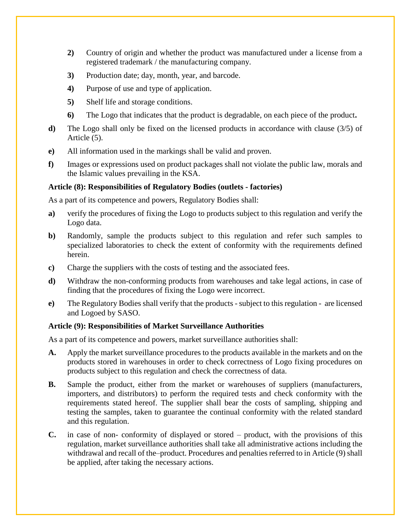- **2)** Country of origin and whether the product was manufactured under a license from a registered trademark / the manufacturing company.
- **3)** Production date; day, month, year, and barcode.
- **4)** Purpose of use and type of application.
- **5)** Shelf life and storage conditions.
- **6)** The Logo that indicates that the product is degradable, on each piece of the product**.**
- **d)** The Logo shall only be fixed on the licensed products in accordance with clause (3/5) of Article (5).
- **e)** All information used in the markings shall be valid and proven.
- **f)** Images or expressions used on product packages shall not violate the public law, morals and the Islamic values prevailing in the KSA.

#### <span id="page-10-0"></span>**Article (8): Responsibilities of Regulatory Bodies (outlets - factories)**

As a part of its competence and powers, Regulatory Bodies shall:

- **a)** verify the procedures of fixing the Logo to products subject to this regulation and verify the Logo data.
- **b)** Randomly, sample the products subject to this regulation and refer such samples to specialized laboratories to check the extent of conformity with the requirements defined herein.
- **c)** Charge the suppliers with the costs of testing and the associated fees.
- **d)** Withdraw the non-conforming products from warehouses and take legal actions, in case of finding that the procedures of fixing the Logo were incorrect.
- **e)** The Regulatory Bodies shall verify that the products subject to this regulation are licensed and Logoed by SASO.

#### <span id="page-10-1"></span>**Article (9): Responsibilities of Market Surveillance Authorities**

As a part of its competence and powers, market surveillance authorities shall:

- **A.** Apply the market surveillance procedures to the products available in the markets and on the products stored in warehouses in order to check correctness of Logo fixing procedures on products subject to this regulation and check the correctness of data.
- **B.** Sample the product, either from the market or warehouses of suppliers (manufacturers, importers, and distributors) to perform the required tests and check conformity with the requirements stated hereof. The supplier shall bear the costs of sampling, shipping and testing the samples, taken to guarantee the continual conformity with the related standard and this regulation.
- **C.** in case of non- conformity of displayed or stored product, with the provisions of this regulation, market surveillance authorities shall take all administrative actions including the withdrawal and recall of the–product. Procedures and penalties referred to in Article (9) shall be applied, after taking the necessary actions.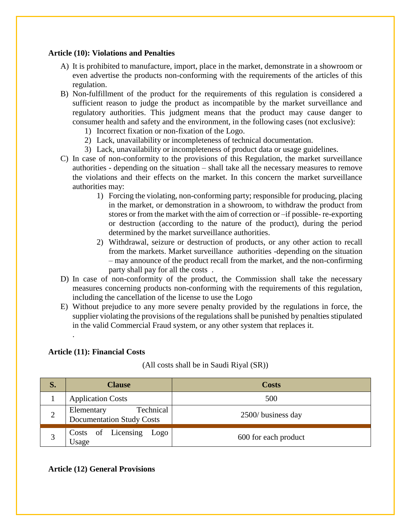#### <span id="page-11-0"></span>**Article (10): Violations and Penalties**

- A) It is prohibited to manufacture, import, place in the market, demonstrate in a showroom or even advertise the products non-conforming with the requirements of the articles of this regulation.
- B) Non-fulfillment of the product for the requirements of this regulation is considered a sufficient reason to judge the product as incompatible by the market surveillance and regulatory authorities. This judgment means that the product may cause danger to consumer health and safety and the environment, in the following cases (not exclusive):
	- 1) Incorrect fixation or non-fixation of the Logo.
	- 2) Lack, unavailability or incompleteness of technical documentation.
	- 3) Lack, unavailability or incompleteness of product data or usage guidelines.
- C) In case of non-conformity to the provisions of this Regulation, the market surveillance authorities - depending on the situation – shall take all the necessary measures to remove the violations and their effects on the market. In this concern the market surveillance authorities may:
	- 1) Forcing the violating, non-conforming party; responsible for producing, placing in the market, or demonstration in a showroom, to withdraw the product from stores or from the market with the aim of correction or –if possible- re-exporting or destruction (according to the nature of the product), during the period determined by the market surveillance authorities.
	- 2) Withdrawal, seizure or destruction of products, or any other action to recall from the markets. Market surveillance authorities -depending on the situation – may announce of the product recall from the market, and the non-confirming party shall pay for all the costs .
- D) In case of non-conformity of the product, the Commission shall take the necessary measures concerning products non-conforming with the requirements of this regulation, including the cancellation of the license to use the Logo
- E) Without prejudice to any more severe penalty provided by the regulations in force, the supplier violating the provisions of the regulations shall be punished by penalties stipulated in the valid Commercial Fraud system, or any other system that replaces it.

#### <span id="page-11-1"></span>**Article (11): Financial Costs**

.

(All costs shall be in Saudi Riyal (SR))

| S.             | <b>Clause</b>                                               | <b>Costs</b>         |
|----------------|-------------------------------------------------------------|----------------------|
|                | <b>Application Costs</b>                                    | 500                  |
| $\overline{2}$ | Technical<br>Elementary<br><b>Documentation Study Costs</b> | 2500/ business day   |
|                | Costs of Licensing Logo<br>Usage                            | 600 for each product |

#### <span id="page-11-2"></span>**Article (12) General Provisions**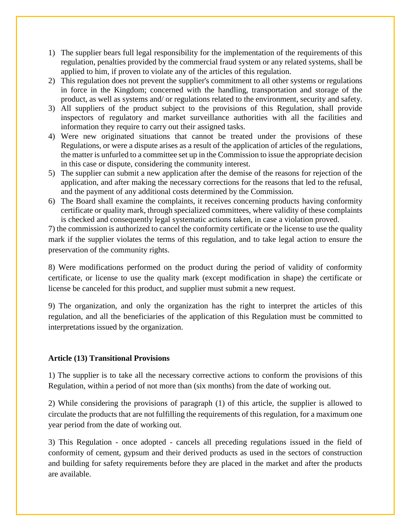- 1) The supplier bears full legal responsibility for the implementation of the requirements of this regulation, penalties provided by the commercial fraud system or any related systems, shall be applied to him, if proven to violate any of the articles of this regulation.
- 2) This regulation does not prevent the supplier's commitment to all other systems or regulations in force in the Kingdom; concerned with the handling, transportation and storage of the product, as well as systems and/ or regulations related to the environment, security and safety.
- 3) All suppliers of the product subject to the provisions of this Regulation, shall provide inspectors of regulatory and market surveillance authorities with all the facilities and information they require to carry out their assigned tasks.
- 4) Were new originated situations that cannot be treated under the provisions of these Regulations, or were a dispute arises as a result of the application of articles of the regulations, the matter is unfurled to a committee set up in the Commission to issue the appropriate decision in this case or dispute, considering the community interest.
- 5) The supplier can submit a new application after the demise of the reasons for rejection of the application, and after making the necessary corrections for the reasons that led to the refusal, and the payment of any additional costs determined by the Commission.
- 6) The Board shall examine the complaints, it receives concerning products having conformity certificate or quality mark, through specialized committees, where validity of these complaints is checked and consequently legal systematic actions taken, in case a violation proved.

7) the commission is authorized to cancel the conformity certificate or the license to use the quality mark if the supplier violates the terms of this regulation, and to take legal action to ensure the preservation of the community rights.

8) Were modifications performed on the product during the period of validity of conformity certificate, or license to use the quality mark (except modification in shape) the certificate or license be canceled for this product, and supplier must submit a new request.

9) The organization, and only the organization has the right to interpret the articles of this regulation, and all the beneficiaries of the application of this Regulation must be committed to interpretations issued by the organization.

#### **Article (13) Transitional Provisions**

1) The supplier is to take all the necessary corrective actions to conform the provisions of this Regulation, within a period of not more than (six months) from the date of working out.

2) While considering the provisions of paragraph (1) of this article, the supplier is allowed to circulate the products that are not fulfilling the requirements of this regulation, for a maximum one year period from the date of working out.

3) This Regulation - once adopted - cancels all preceding regulations issued in the field of conformity of cement, gypsum and their derived products as used in the sectors of construction and building for safety requirements before they are placed in the market and after the products are available.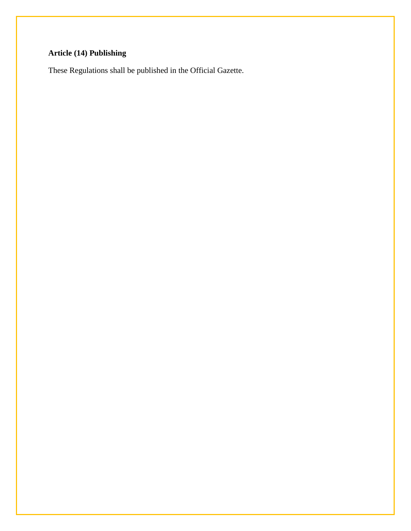## **Article (14) Publishing**

These Regulations shall be published in the Official Gazette.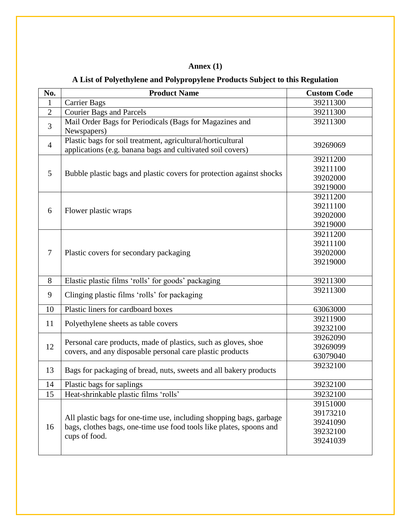## **Annex (1)**

## **A List of Polyethylene and Polypropylene Products Subject to this Regulation**

<span id="page-14-1"></span><span id="page-14-0"></span>

| No.            | <b>Product Name</b>                                                  | <b>Custom Code</b> |
|----------------|----------------------------------------------------------------------|--------------------|
| $\mathbf{1}$   | <b>Carrier Bags</b>                                                  | 39211300           |
| $\overline{2}$ | <b>Courier Bags and Parcels</b>                                      | 39211300           |
| 3              | Mail Order Bags for Periodicals (Bags for Magazines and              | 39211300           |
|                | Newspapers)                                                          |                    |
| $\overline{4}$ | Plastic bags for soil treatment, agricultural/horticultural          | 39269069           |
|                | applications (e.g. banana bags and cultivated soil covers)           |                    |
|                |                                                                      | 39211200           |
| 5              | Bubble plastic bags and plastic covers for protection against shocks | 39211100           |
|                |                                                                      | 39202000           |
|                |                                                                      | 39219000           |
|                |                                                                      | 39211200           |
| 6              | Flower plastic wraps                                                 | 39211100           |
|                |                                                                      | 39202000           |
|                |                                                                      | 39219000           |
|                | Plastic covers for secondary packaging                               | 39211200           |
|                |                                                                      | 39211100           |
| $\overline{7}$ |                                                                      | 39202000           |
|                |                                                                      | 39219000           |
|                |                                                                      |                    |
| 8              | Elastic plastic films 'rolls' for goods' packaging                   | 39211300           |
| 9              | Clinging plastic films 'rolls' for packaging                         | 39211300           |
| 10             | Plastic liners for cardboard boxes                                   | 63063000           |
| 11             | Polyethylene sheets as table covers                                  | 39211900           |
|                |                                                                      | 39232100           |
|                | Personal care products, made of plastics, such as gloves, shoe       | 39262090           |
| 12             | covers, and any disposable personal care plastic products            | 39269099           |
|                |                                                                      | 63079040           |
| 13             | Bags for packaging of bread, nuts, sweets and all bakery products    | 39232100           |
| 14             | Plastic bags for saplings                                            | 39232100           |
| 15             | Heat-shrinkable plastic films 'rolls'                                | 39232100           |
|                |                                                                      | 39151000           |
|                |                                                                      | 39173210           |
|                | All plastic bags for one-time use, including shopping bags, garbage  | 39241090           |
| 16             | bags, clothes bags, one-time use food tools like plates, spoons and  | 39232100           |
|                | cups of food.                                                        | 39241039           |
|                |                                                                      |                    |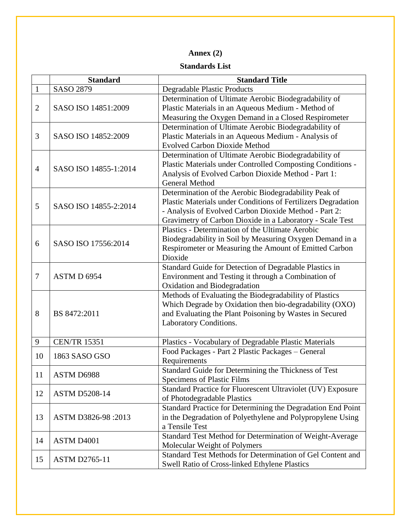## **Annex (2)**

#### **Standards List**

<span id="page-15-1"></span><span id="page-15-0"></span>

|                | <b>Standard</b>       | <b>Standard Title</b>                                                                                                                                                                                                                        |  |  |
|----------------|-----------------------|----------------------------------------------------------------------------------------------------------------------------------------------------------------------------------------------------------------------------------------------|--|--|
| $\mathbf{1}$   | <b>SASO 2879</b>      | <b>Degradable Plastic Products</b>                                                                                                                                                                                                           |  |  |
| $\overline{2}$ | SASO ISO 14851:2009   | Determination of Ultimate Aerobic Biodegradability of<br>Plastic Materials in an Aqueous Medium - Method of<br>Measuring the Oxygen Demand in a Closed Respirometer                                                                          |  |  |
| 3              | SASO ISO 14852:2009   | Determination of Ultimate Aerobic Biodegradability of<br>Plastic Materials in an Aqueous Medium - Analysis of<br><b>Evolved Carbon Dioxide Method</b>                                                                                        |  |  |
| $\overline{4}$ | SASO ISO 14855-1:2014 | Determination of Ultimate Aerobic Biodegradability of<br>Plastic Materials under Controlled Composting Conditions -<br>Analysis of Evolved Carbon Dioxide Method - Part 1:<br><b>General Method</b>                                          |  |  |
| 5              | SASO ISO 14855-2:2014 | Determination of the Aerobic Biodegradability Peak of<br>Plastic Materials under Conditions of Fertilizers Degradation<br>- Analysis of Evolved Carbon Dioxide Method - Part 2:<br>Gravimetry of Carbon Dioxide in a Laboratory - Scale Test |  |  |
| 6              | SASO ISO 17556:2014   | Plastics - Determination of the Ultimate Aerobic<br>Biodegradability in Soil by Measuring Oxygen Demand in a<br>Respirometer or Measuring the Amount of Emitted Carbon<br>Dioxide                                                            |  |  |
| $\tau$         | ASTM D 6954           | Standard Guide for Detection of Degradable Plastics in<br>Environment and Testing it through a Combination of<br>Oxidation and Biodegradation                                                                                                |  |  |
| 8              | BS 8472:2011          | Methods of Evaluating the Biodegradability of Plastics<br>Which Degrade by Oxidation then bio-degradability (OXO)<br>and Evaluating the Plant Poisoning by Wastes in Secured<br>Laboratory Conditions.                                       |  |  |
| 9              | <b>CEN/TR 15351</b>   | Plastics - Vocabulary of Degradable Plastic Materials                                                                                                                                                                                        |  |  |
| 10             | 1863 SASO GSO         | Food Packages - Part 2 Plastic Packages - General<br>Requirements                                                                                                                                                                            |  |  |
| 11             | ASTM D6988            | Standard Guide for Determining the Thickness of Test<br>Specimens of Plastic Films                                                                                                                                                           |  |  |
| 12             | <b>ASTM D5208-14</b>  | Standard Practice for Fluorescent Ultraviolet (UV) Exposure<br>of Photodegradable Plastics                                                                                                                                                   |  |  |
| 13             | ASTM D3826-98:2013    | Standard Practice for Determining the Degradation End Point<br>in the Degradation of Polyethylene and Polypropylene Using<br>a Tensile Test                                                                                                  |  |  |
| 14             | ASTM D4001            | Standard Test Method for Determination of Weight-Average<br>Molecular Weight of Polymers                                                                                                                                                     |  |  |
| 15             | <b>ASTM D2765-11</b>  | Standard Test Methods for Determination of Gel Content and<br><b>Swell Ratio of Cross-linked Ethylene Plastics</b>                                                                                                                           |  |  |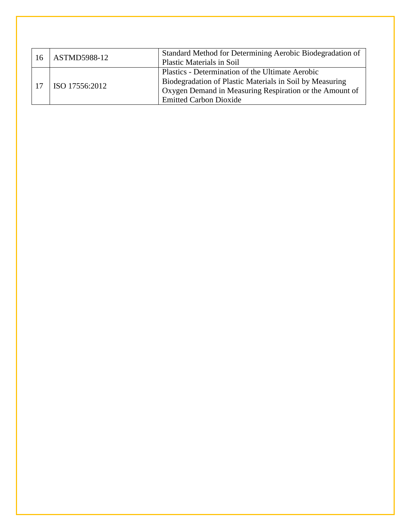<span id="page-16-0"></span>

| 16 | ASTMD5988-12   | Standard Method for Determining Aerobic Biodegradation of<br><b>Plastic Materials in Soil</b>                                                                                                            |
|----|----------------|----------------------------------------------------------------------------------------------------------------------------------------------------------------------------------------------------------|
|    | ISO 17556:2012 | Plastics - Determination of the Ultimate Aerobic<br>Biodegradation of Plastic Materials in Soil by Measuring<br>Oxygen Demand in Measuring Respiration or the Amount of<br><b>Emitted Carbon Dioxide</b> |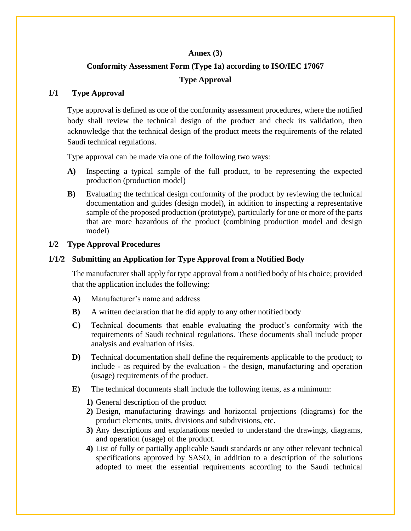#### **Annex (3)**

## **Conformity Assessment Form (Type 1a) according to ISO/IEC 17067 Type Approval**

#### <span id="page-17-1"></span><span id="page-17-0"></span>**1/1 Type Approval**

Type approval is defined as one of the conformity assessment procedures, where the notified body shall review the technical design of the product and check its validation, then acknowledge that the technical design of the product meets the requirements of the related Saudi technical regulations.

Type approval can be made via one of the following two ways:

- **A)** Inspecting a typical sample of the full product, to be representing the expected production (production model)
- **B)** Evaluating the technical design conformity of the product by reviewing the technical documentation and guides (design model), in addition to inspecting a representative sample of the proposed production (prototype), particularly for one or more of the parts that are more hazardous of the product (combining production model and design model)

#### **1/2 Type Approval Procedures**

#### **1/1/2 Submitting an Application for Type Approval from a Notified Body**

The manufacturer shall apply for type approval from a notified body of his choice; provided that the application includes the following:

- **A)** Manufacturer's name and address
- **B**) A written declaration that he did apply to any other notified body
- **C)** Technical documents that enable evaluating the product's conformity with the requirements of Saudi technical regulations. These documents shall include proper analysis and evaluation of risks.
- **D)** Technical documentation shall define the requirements applicable to the product; to include - as required by the evaluation - the design, manufacturing and operation (usage) requirements of the product.
- **E)** The technical documents shall include the following items, as a minimum:
	- **1)** General description of the product
	- **2)** Design, manufacturing drawings and horizontal projections (diagrams) for the product elements, units, divisions and subdivisions, etc.
	- **3)** Any descriptions and explanations needed to understand the drawings, diagrams, and operation (usage) of the product.
	- **4)** List of fully or partially applicable Saudi standards or any other relevant technical specifications approved by SASO, in addition to a description of the solutions adopted to meet the essential requirements according to the Saudi technical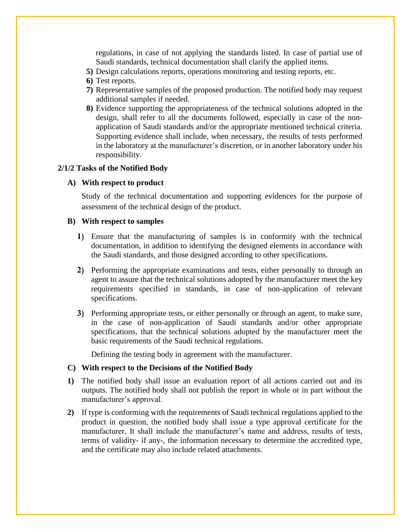regulations, in case of not applying the standards listed. In case of partial use of Saudi standards, technical documentation shall clarify the applied items.

- **5)** Design calculations reports, operations monitoring and testing reports, etc.
- **6)** Test reports.
- **7)** Representative samples of the proposed production. The notified body may request additional samples if needed.
- **8)** Evidence supporting the appropriateness of the technical solutions adopted in the design, shall refer to all the documents followed, especially in case of the nonapplication of Saudi standards and/or the appropriate mentioned technical criteria. Supporting evidence shall include, when necessary, the results of tests performed in the laboratory at the manufacturer's discretion, or in another laboratory under his responsibility.

#### **2/1/2 Tasks of the Notified Body**

#### **A) With respect to product**

Study of the technical documentation and supporting evidences for the purpose of assessment of the technical design of the product.

#### **B) With respect to samples**

- **1)** Ensure that the manufacturing of samples is in conformity with the technical documentation, in addition to identifying the designed elements in accordance with the Saudi standards, and those designed according to other specifications.
- **2)** Performing the appropriate examinations and tests, either personally to through an agent to assure that the technical solutions adopted by the manufacturer meet the key requirements specified in standards, in case of non-application of relevant specifications.
- **3)** Performing appropriate tests, or either personally or through an agent, to make sure, in the case of non-application of Saudi standards and/or other appropriate specifications, that the technical solutions adopted by the manufacturer meet the basic requirements of the Saudi technical regulations.

Defining the testing body in agreement with the manufacturer.

#### **C) With respect to the Decisions of the Notified Body**

- **1)** The notified body shall issue an evaluation report of all actions carried out and its outputs. The notified body shall not publish the report in whole or in part without the manufacturer's approval.
- **2)** If type is conforming with the requirements of Saudi technical regulations applied to the product in question, the notified body shall issue a type approval certificate for the manufacturer, It shall include the manufacturer's name and address, results of tests, terms of validity- if any-, the information necessary to determine the accredited type, and the certificate may also include related attachments.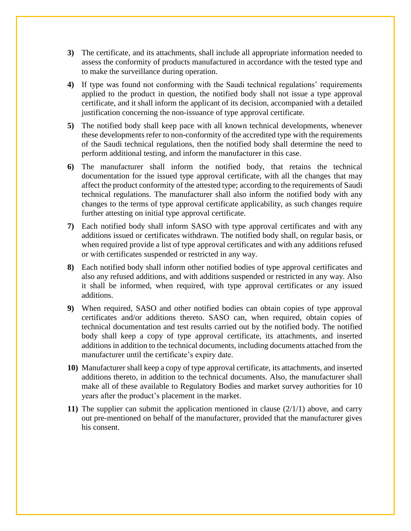- **3)** The certificate, and its attachments, shall include all appropriate information needed to assess the conformity of products manufactured in accordance with the tested type and to make the surveillance during operation.
- **4)** If type was found not conforming with the Saudi technical regulations' requirements applied to the product in question, the notified body shall not issue a type approval certificate, and it shall inform the applicant of its decision, accompanied with a detailed justification concerning the non-issuance of type approval certificate.
- **5)** The notified body shall keep pace with all known technical developments, whenever these developments refer to non-conformity of the accredited type with the requirements of the Saudi technical regulations, then the notified body shall determine the need to perform additional testing, and inform the manufacturer in this case.
- **6)** The manufacturer shall inform the notified body, that retains the technical documentation for the issued type approval certificate, with all the changes that may affect the product conformity of the attested type; according to the requirements of Saudi technical regulations. The manufacturer shall also inform the notified body with any changes to the terms of type approval certificate applicability, as such changes require further attesting on initial type approval certificate.
- **7)** Each notified body shall inform SASO with type approval certificates and with any additions issued or certificates withdrawn. The notified body shall, on regular basis, or when required provide a list of type approval certificates and with any additions refused or with certificates suspended or restricted in any way.
- **8)** Each notified body shall inform other notified bodies of type approval certificates and also any refused additions, and with additions suspended or restricted in any way. Also it shall be informed, when required, with type approval certificates or any issued additions.
- **9)** When required, SASO and other notified bodies can obtain copies of type approval certificates and/or additions thereto. SASO can, when required, obtain copies of technical documentation and test results carried out by the notified body. The notified body shall keep a copy of type approval certificate, its attachments, and inserted additions in addition to the technical documents, including documents attached from the manufacturer until the certificate's expiry date.
- **10)** Manufacturer shall keep a copy of type approval certificate, its attachments, and inserted additions thereto, in addition to the technical documents. Also, the manufacturer shall make all of these available to Regulatory Bodies and market survey authorities for 10 years after the product's placement in the market.
- **11)** The supplier can submit the application mentioned in clause (2/1/1) above, and carry out pre-mentioned on behalf of the manufacturer, provided that the manufacturer gives his consent.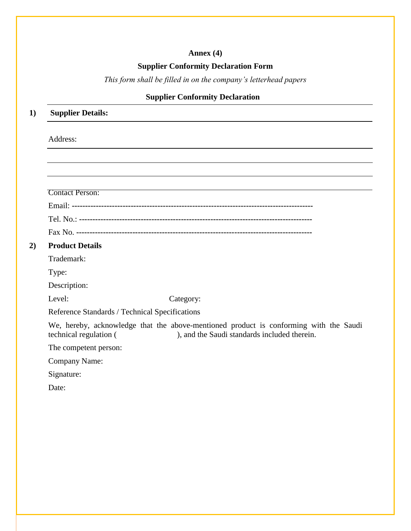## **Annex (4)**

#### **Supplier Conformity Declaration Form**

*This form shall be filled in on the company's letterhead papers*

## **Supplier Conformity Declaration**

### **1) Supplier Details:**

#### Address:

**2**)

| Category:                                                                                                                             |
|---------------------------------------------------------------------------------------------------------------------------------------|
| Reference Standards / Technical Specifications                                                                                        |
| We, hereby, acknowledge that the above-mentioned product is conforming with the Saudi<br>), and the Saudi standards included therein. |
|                                                                                                                                       |
|                                                                                                                                       |
|                                                                                                                                       |
|                                                                                                                                       |

<span id="page-20-0"></span>Date: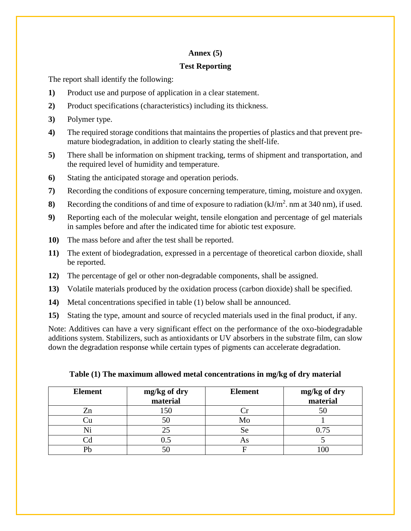#### **Annex (5)**

#### <span id="page-21-0"></span>**Test Reporting**

The report shall identify the following:

- **1)** Product use and purpose of application in a clear statement.
- **2)** Product specifications (characteristics) including its thickness.
- **3)** Polymer type.
- **4)** The required storage conditions that maintains the properties of plastics and that prevent premature biodegradation, in addition to clearly stating the shelf-life.
- **5)** There shall be information on shipment tracking, terms of shipment and transportation, and the required level of humidity and temperature.
- **6)** Stating the anticipated storage and operation periods.
- **7)** Recording the conditions of exposure concerning temperature, timing, moisture and oxygen.
- **8**) Recording the conditions of and time of exposure to radiation  $(kJ/m^2)$ . nm at 340 nm), if used.
- **9)** Reporting each of the molecular weight, tensile elongation and percentage of gel materials in samples before and after the indicated time for abiotic test exposure.
- **10)** The mass before and after the test shall be reported.
- **11)** The extent of biodegradation, expressed in a percentage of theoretical carbon dioxide, shall be reported.
- **12)** The percentage of gel or other non-degradable components, shall be assigned.
- **13)** Volatile materials produced by the oxidation process (carbon dioxide) shall be specified.
- **14)** Metal concentrations specified in table (1) below shall be announced.
- **15)** Stating the type, amount and source of recycled materials used in the final product, if any.

Note: Additives can have a very significant effect on the performance of the oxo-biodegradable additions system. Stabilizers, such as antioxidants or UV absorbers in the substrate film, can slow down the degradation response while certain types of pigments can accelerate degradation.

| <b>Element</b> | mg/kg of dry<br>material | <b>Element</b> | mg/kg of dry<br>material |
|----------------|--------------------------|----------------|--------------------------|
| Zn             | 150                      |                |                          |
|                | эu                       | Mo             |                          |
|                |                          | Se             | 0.75                     |
|                | د.(                      | AS             |                          |
| D1.            |                          |                |                          |

#### **Table (1) The maximum allowed metal concentrations in mg/kg of dry material**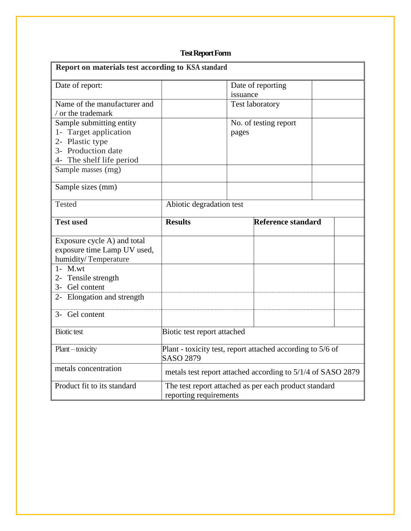## **Test Report Form**

<span id="page-22-0"></span>

| Report on materials test according to KSA standard |                                                                                |          |                        |  |  |
|----------------------------------------------------|--------------------------------------------------------------------------------|----------|------------------------|--|--|
| Date of report:                                    |                                                                                |          | Date of reporting      |  |  |
|                                                    |                                                                                | issuance |                        |  |  |
| Name of the manufacturer and                       |                                                                                |          | <b>Test laboratory</b> |  |  |
| / or the trademark                                 |                                                                                |          |                        |  |  |
| Sample submitting entity                           |                                                                                |          | No. of testing report  |  |  |
| 1- Target application                              |                                                                                | pages    |                        |  |  |
| 2- Plastic type                                    |                                                                                |          |                        |  |  |
| 3- Production date                                 |                                                                                |          |                        |  |  |
| 4- The shelf life period                           |                                                                                |          |                        |  |  |
| Sample masses (mg)                                 |                                                                                |          |                        |  |  |
| Sample sizes (mm)                                  |                                                                                |          |                        |  |  |
| <b>Tested</b>                                      | Abiotic degradation test                                                       |          |                        |  |  |
| <b>Test used</b>                                   | <b>Results</b>                                                                 |          | Reference standard     |  |  |
| Exposure cycle A) and total                        |                                                                                |          |                        |  |  |
| exposure time Lamp UV used,                        |                                                                                |          |                        |  |  |
| humidity/Temperature                               |                                                                                |          |                        |  |  |
| $1 - M.wt$                                         |                                                                                |          |                        |  |  |
| 2- Tensile strength                                |                                                                                |          |                        |  |  |
| 3- Gel content                                     |                                                                                |          |                        |  |  |
| 2- Elongation and strength                         |                                                                                |          |                        |  |  |
| 3- Gel content                                     |                                                                                |          |                        |  |  |
|                                                    |                                                                                |          |                        |  |  |
| <b>Biotic test</b>                                 | Biotic test report attached                                                    |          |                        |  |  |
| Plant-toxicity                                     | Plant - toxicity test, report attached according to 5/6 of<br><b>SASO 2879</b> |          |                        |  |  |
| metals concentration                               | metals test report attached according to 5/1/4 of SASO 2879                    |          |                        |  |  |
| Product fit to its standard                        | The test report attached as per each product standard                          |          |                        |  |  |
|                                                    | reporting requirements                                                         |          |                        |  |  |